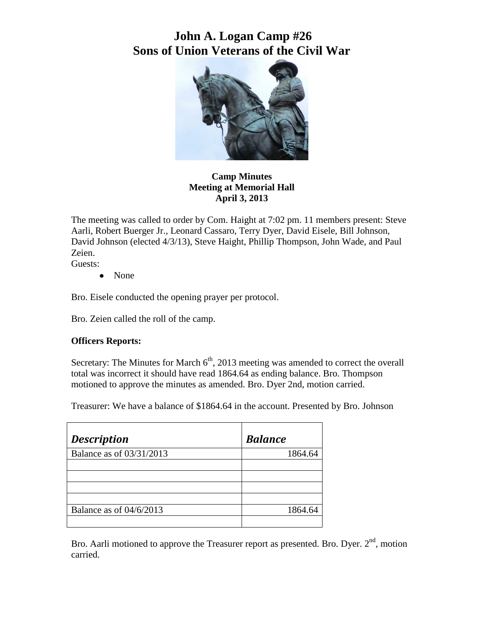# **John A. Logan Camp #26 Sons of Union Veterans of the Civil War**



### **Camp Minutes Meeting at Memorial Hall April 3, 2013**

The meeting was called to order by Com. Haight at 7:02 pm. 11 members present: Steve Aarli, Robert Buerger Jr., Leonard Cassaro, Terry Dyer, David Eisele, Bill Johnson, David Johnson (elected 4/3/13), Steve Haight, Phillip Thompson, John Wade, and Paul Zeien.

Guests:

• None

Bro. Eisele conducted the opening prayer per protocol.

Bro. Zeien called the roll of the camp.

### **Officers Reports:**

Secretary: The Minutes for March  $6<sup>th</sup>$ , 2013 meeting was amended to correct the overall total was incorrect it should have read 1864.64 as ending balance. Bro. Thompson motioned to approve the minutes as amended. Bro. Dyer 2nd, motion carried.

Treasurer: We have a balance of \$1864.64 in the account. Presented by Bro. Johnson

| <b>Description</b>       | <b>Balance</b> |
|--------------------------|----------------|
| Balance as of 03/31/2013 | 1864.64        |
|                          |                |
|                          |                |
|                          |                |
|                          |                |
| Balance as of 04/6/2013  | 1864.64        |
|                          |                |

Bro. Aarli motioned to approve the Treasurer report as presented. Bro. Dyer.  $2<sup>nd</sup>$ , motion carried.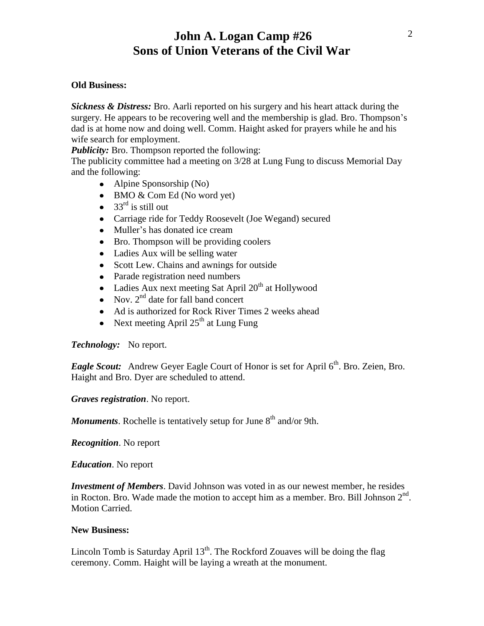## **John A. Logan Camp #26 Sons of Union Veterans of the Civil War**

#### **Old Business:**

*Sickness & Distress:* Bro. Aarli reported on his surgery and his heart attack during the surgery. He appears to be recovering well and the membership is glad. Bro. Thompson's dad is at home now and doing well. Comm. Haight asked for prayers while he and his wife search for employment.

*Publicity:* Bro. Thompson reported the following:

The publicity committee had a meeting on 3/28 at Lung Fung to discuss Memorial Day and the following:

- Alpine Sponsorship (No)
- BMO & Com Ed (No word yet)
- $33<sup>rd</sup>$  is still out
- Carriage ride for Teddy Roosevelt (Joe Wegand) secured
- Muller's has donated ice cream
- Bro. Thompson will be providing coolers
- Ladies Aux will be selling water
- Scott Lew. Chains and awnings for outside
- Parade registration need numbers
- Ladies Aux next meeting Sat April  $20<sup>th</sup>$  at Hollywood
- Nov.  $2<sup>nd</sup>$  date for fall band concert
- Ad is authorized for Rock River Times 2 weeks ahead
- Next meeting April  $25<sup>th</sup>$  at Lung Fung

*Technology:* No report.

*Eagle Scout:* Andrew Geyer Eagle Court of Honor is set for April 6<sup>th</sup>. Bro. Zeien, Bro. Haight and Bro. Dyer are scheduled to attend.

*Graves registration*. No report.

*Monuments*. Rochelle is tentatively setup for June 8<sup>th</sup> and/or 9th.

*Recognition*. No report

*Education*. No report

*Investment of Members*. David Johnson was voted in as our newest member, he resides in Rocton. Bro. Wade made the motion to accept him as a member. Bro. Bill Johnson  $2<sup>nd</sup>$ . Motion Carried.

#### **New Business:**

Lincoln Tomb is Saturday April  $13<sup>th</sup>$ . The Rockford Zouaves will be doing the flag ceremony. Comm. Haight will be laying a wreath at the monument.